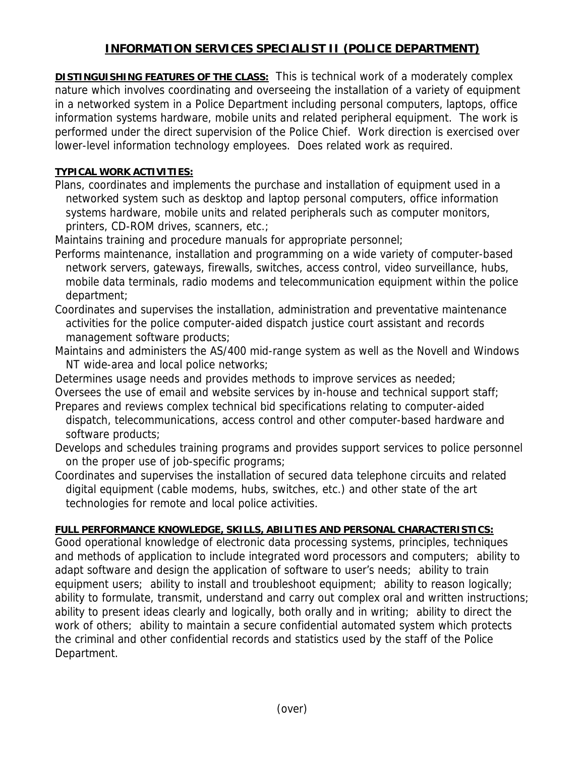## **INFORMATION SERVICES SPECIALIST II (POLICE DEPARTMENT)**

**DISTINGUISHING FEATURES OF THE CLASS:** This is technical work of a moderately complex nature which involves coordinating and overseeing the installation of a variety of equipment in a networked system in a Police Department including personal computers, laptops, office information systems hardware, mobile units and related peripheral equipment. The work is performed under the direct supervision of the Police Chief. Work direction is exercised over lower-level information technology employees. Does related work as required.

## **TYPICAL WORK ACTIVITIES:**

Plans, coordinates and implements the purchase and installation of equipment used in a networked system such as desktop and laptop personal computers, office information systems hardware, mobile units and related peripherals such as computer monitors, printers, CD-ROM drives, scanners, etc.;

Maintains training and procedure manuals for appropriate personnel;

- Performs maintenance, installation and programming on a wide variety of computer-based network servers, gateways, firewalls, switches, access control, video surveillance, hubs, mobile data terminals, radio modems and telecommunication equipment within the police department;
- Coordinates and supervises the installation, administration and preventative maintenance activities for the police computer-aided dispatch justice court assistant and records management software products;
- Maintains and administers the AS/400 mid-range system as well as the Novell and Windows NT wide-area and local police networks;
- Determines usage needs and provides methods to improve services as needed;

Oversees the use of email and website services by in-house and technical support staff; Prepares and reviews complex technical bid specifications relating to computer-aided

- dispatch, telecommunications, access control and other computer-based hardware and software products;
- Develops and schedules training programs and provides support services to police personnel on the proper use of job-specific programs;
- Coordinates and supervises the installation of secured data telephone circuits and related digital equipment (cable modems, hubs, switches, etc.) and other state of the art technologies for remote and local police activities.

## **FULL PERFORMANCE KNOWLEDGE, SKILLS, ABILITIES AND PERSONAL CHARACTERISTICS:**

Good operational knowledge of electronic data processing systems, principles, techniques and methods of application to include integrated word processors and computers; ability to adapt software and design the application of software to user's needs; ability to train equipment users; ability to install and troubleshoot equipment; ability to reason logically; ability to formulate, transmit, understand and carry out complex oral and written instructions; ability to present ideas clearly and logically, both orally and in writing; ability to direct the work of others; ability to maintain a secure confidential automated system which protects the criminal and other confidential records and statistics used by the staff of the Police Department.